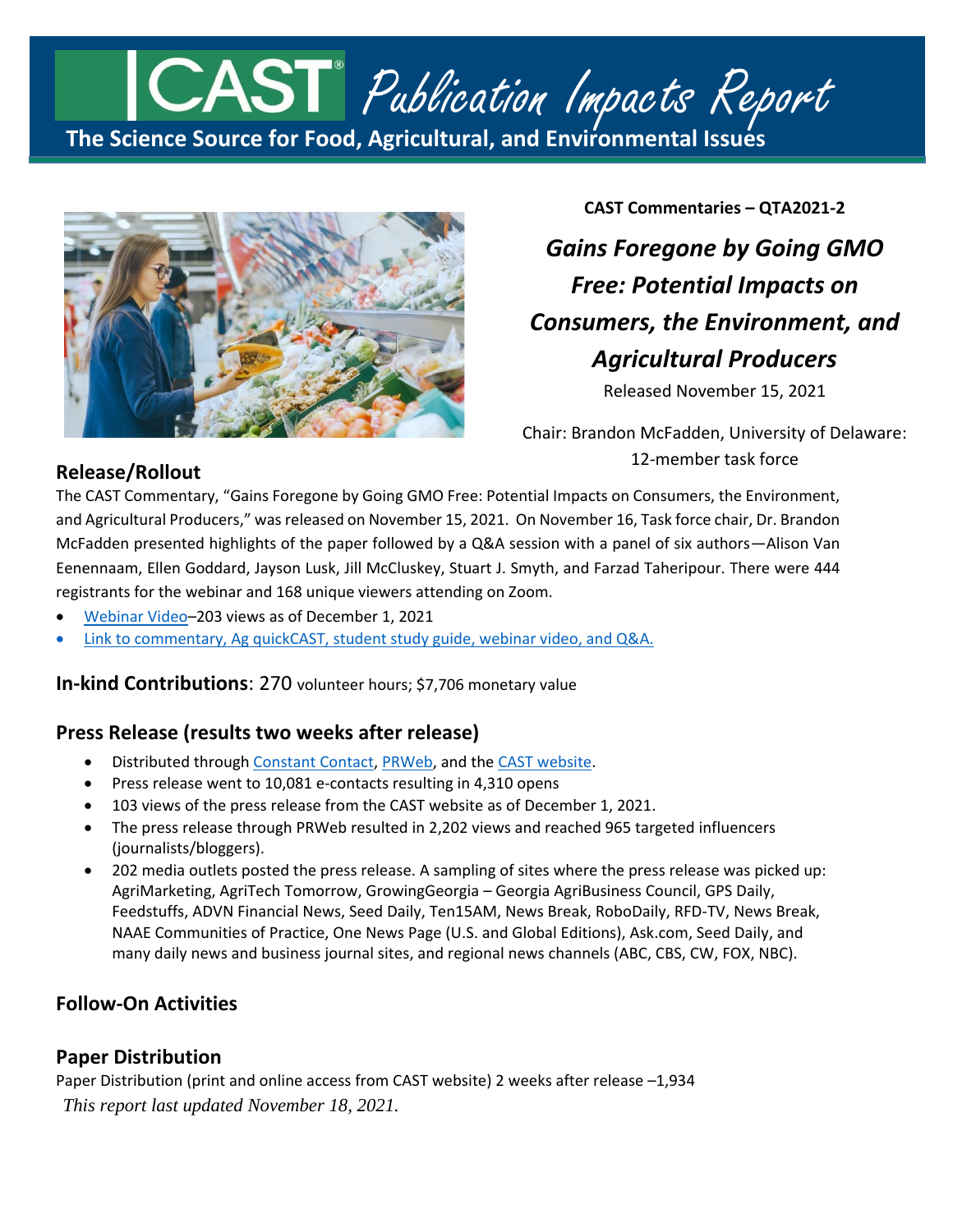# **The Science Source for Food, Agricultural, and Environmental Issues** CAST<sup>®</sup> Publication Impacts Report



**CAST Commentaries – QTA2021-2** *Gains Foregone by Going GMO Free: Potential Impacts on Consumers, the Environment, and Agricultural Producers*

Released November 15, 2021

Chair: Brandon McFadden, University of Delaware: 12-member task force

## **Release/Rollout**

The CAST Commentary, "Gains Foregone by Going GMO Free: Potential Impacts on Consumers, the Environment, and Agricultural Producers," was released on November 15, 2021. On November 16, Task force chair, Dr. Brandon McFadden presented highlights of the paper followed by a Q&A session with a panel of six authors—Alison Van Eenennaam, Ellen Goddard, Jayson Lusk, Jill McCluskey, Stuart J. Smyth, and Farzad Taheripour. There were 444 registrants for the webinar and 168 unique viewers attending on Zoom.

- [Webinar Video](https://www.youtube.com/watch?v=8AT0BCB_2vg&t=5s)–203 views as of December 1, 2021
- [Link to commentary, Ag quickCAST, student study guide, webinar video, and Q&A.](https://www.cast-science.org/publication/gains-foregone-by-going-gmo-free-potential-impacts-on-consumers-the-environment-and-agricultural-producers/)

**In-kind Contributions**: 270 volunteer hours; \$7,706 monetary value

# **Press Release (results two weeks after release)**

- Distributed through [Constant Contact,](https://conta.cc/3of6Zax) [PRWeb,](https://www.prweb.com/releases/cast_releases_new_commentary_on_gains_foregone_by_going_gmo_free_potential_impacts_on_consumers_the_environment_and_agricultural_producers/prweb18329500.htm) and the [CAST website.](https://www.cast-science.org/cast-releases-new-commentary-on-gains-foregone-by-going-gmo-free-potential-impacts-on-consumers-the-environment-and-agricultural-producers/)
- Press release went to 10,081 e-contacts resulting in 4,310 opens
- 103 views of the press release from the CAST website as of December 1, 2021.
- The press release through PRWeb resulted in 2,202 views and reached 965 targeted influencers (journalists/bloggers).
- 202 media outlets posted the press release. A sampling of sites where the press release was picked up: AgriMarketing, AgriTech Tomorrow, GrowingGeorgia – Georgia AgriBusiness Council, GPS Daily, Feedstuffs, ADVN Financial News, Seed Daily, Ten15AM, News Break, RoboDaily, RFD-TV, News Break, NAAE Communities of Practice, One News Page (U.S. and Global Editions), Ask.com, Seed Daily, and many daily news and business journal sites, and regional news channels (ABC, CBS, CW, FOX, NBC).

# **Follow-On Activities**

## **Paper Distribution**

*This report last updated November 18, 2021.* Paper Distribution (print and online access from CAST website) 2 weeks after release –1,934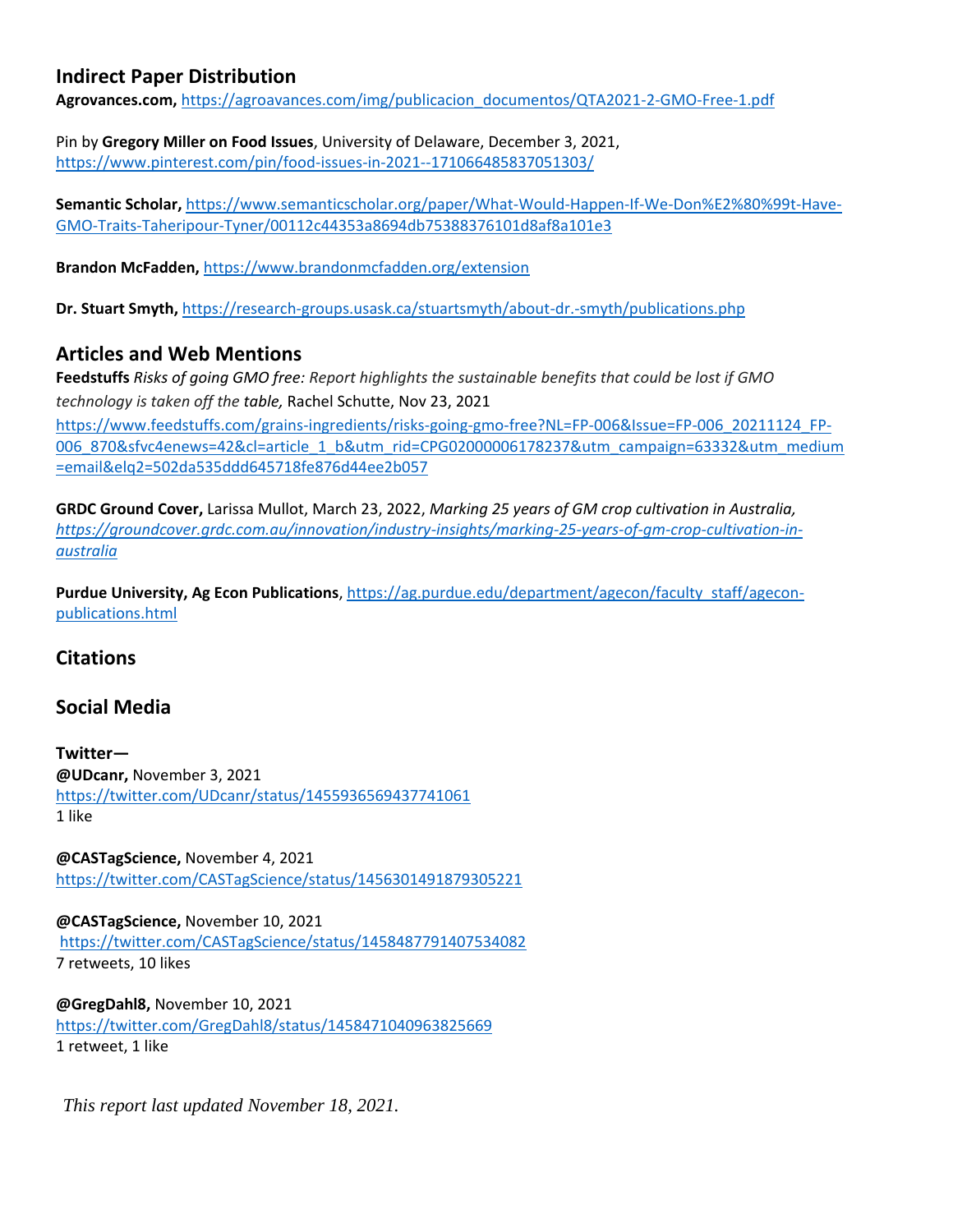## **Indirect Paper Distribution**

**Agrovances.com,** [https://agroavances.com/img/publicacion\\_documentos/QTA2021-2-GMO-Free-1.pdf](https://agroavances.com/img/publicacion_documentos/QTA2021-2-GMO-Free-1.pdf)

Pin by **Gregory Miller on Food Issues**, University of Delaware, December 3, 2021, <https://www.pinterest.com/pin/food-issues-in-2021--171066485837051303/>

**Semantic Scholar,** [https://www.semanticscholar.org/paper/What-Would-Happen-If-We-Don%E2%80%99t-Have-](https://www.semanticscholar.org/paper/What-Would-Happen-If-We-Don%E2%80%99t-Have-GMO-Traits-Taheripour-Tyner/00112c44353a8694db75388376101d8af8a101e3)[GMO-Traits-Taheripour-Tyner/00112c44353a8694db75388376101d8af8a101e3](https://www.semanticscholar.org/paper/What-Would-Happen-If-We-Don%E2%80%99t-Have-GMO-Traits-Taheripour-Tyner/00112c44353a8694db75388376101d8af8a101e3)

**Brandon McFadden,** <https://www.brandonmcfadden.org/extension>

**Dr. Stuart Smyth,** <https://research-groups.usask.ca/stuartsmyth/about-dr.-smyth/publications.php>

## **Articles and Web Mentions**

**Feedstuffs** *Risks of going GMO free: Report highlights the sustainable benefits that could be lost if GMO technology is taken off the table,* Rachel Schutte, Nov 23, 2021

[https://www.feedstuffs.com/grains-ingredients/risks-going-gmo-free?NL=FP-006&Issue=FP-006\\_20211124\\_FP-](https://www.feedstuffs.com/grains-ingredients/risks-going-gmo-free?NL=FP-006&Issue=FP-006_20211124_FP-006_870&sfvc4enews=42&cl=article_1_b&utm_rid=CPG02000006178237&utm_campaign=63332&utm_medium=email&elq2=502da535ddd645718fe876d44ee2b057)[006\\_870&sfvc4enews=42&cl=article\\_1\\_b&utm\\_rid=CPG02000006178237&utm\\_campaign=63332&utm\\_medium](https://www.feedstuffs.com/grains-ingredients/risks-going-gmo-free?NL=FP-006&Issue=FP-006_20211124_FP-006_870&sfvc4enews=42&cl=article_1_b&utm_rid=CPG02000006178237&utm_campaign=63332&utm_medium=email&elq2=502da535ddd645718fe876d44ee2b057) [=email&elq2=502da535ddd645718fe876d44ee2b057](https://www.feedstuffs.com/grains-ingredients/risks-going-gmo-free?NL=FP-006&Issue=FP-006_20211124_FP-006_870&sfvc4enews=42&cl=article_1_b&utm_rid=CPG02000006178237&utm_campaign=63332&utm_medium=email&elq2=502da535ddd645718fe876d44ee2b057)

**GRDC Ground Cover,** Larissa Mullot, March 23, 2022, *Marking 25 years of GM crop cultivation in Australia, [https://groundcover.grdc.com.au/innovation/industry-insights/marking-25-years-of-gm-crop-cultivation-in](https://groundcover.grdc.com.au/innovation/industry-insights/marking-25-years-of-gm-crop-cultivation-in-australia)[australia](https://groundcover.grdc.com.au/innovation/industry-insights/marking-25-years-of-gm-crop-cultivation-in-australia)*

**Purdue University, Ag Econ Publications**, [https://ag.purdue.edu/department/agecon/faculty\\_staff/agecon](https://ag.purdue.edu/department/agecon/faculty_staff/agecon-publications.html)[publications.html](https://ag.purdue.edu/department/agecon/faculty_staff/agecon-publications.html)

## **Citations**

## **Social Media**

**Twitter— @UDcanr,** November 3, 2021 <https://twitter.com/UDcanr/status/1455936569437741061> 1 like

**@CASTagScience,** November 4, 2021 <https://twitter.com/CASTagScience/status/1456301491879305221>

**@CASTagScience,** November 10, 2021 <https://twitter.com/CASTagScience/status/1458487791407534082> 7 retweets, 10 likes

**@GregDahl8,** November 10, 2021 <https://twitter.com/GregDahl8/status/1458471040963825669> 1 retweet, 1 like

*This report last updated November 18, 2021.*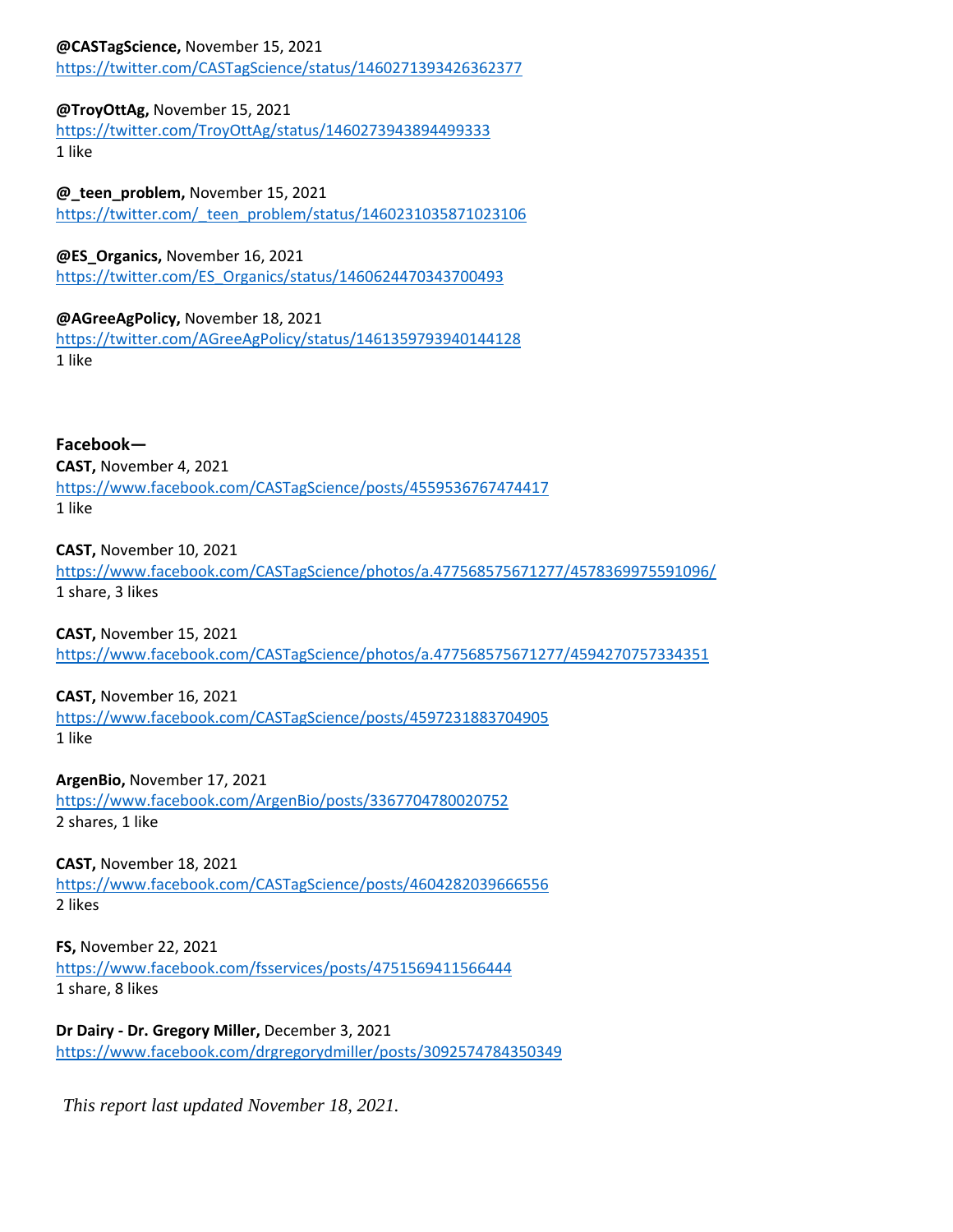#### **@CASTagScience,** November 15, 2021

<https://twitter.com/CASTagScience/status/1460271393426362377>

#### **@TroyOttAg,** November 15, 2021

<https://twitter.com/TroyOttAg/status/1460273943894499333> 1 like

#### **@\_teen\_problem,** November 15, 2021

[https://twitter.com/\\_teen\\_problem/status/1460231035871023106](https://twitter.com/_teen_problem/status/1460231035871023106)

**@ES\_Organics,** November 16, 2021

[https://twitter.com/ES\\_Organics/status/1460624470343700493](https://twitter.com/ES_Organics/status/1460624470343700493)

#### **@AGreeAgPolicy,** November 18, 2021

<https://twitter.com/AGreeAgPolicy/status/1461359793940144128> 1 like

**Facebook— CAST,** November 4, 2021 <https://www.facebook.com/CASTagScience/posts/4559536767474417> 1 like

**CAST,** November 10, 2021 <https://www.facebook.com/CASTagScience/photos/a.477568575671277/4578369975591096/> 1 share, 3 likes

**CAST,** November 15, 2021 <https://www.facebook.com/CASTagScience/photos/a.477568575671277/4594270757334351>

**CAST,** November 16, 2021

<https://www.facebook.com/CASTagScience/posts/4597231883704905> 1 like

**ArgenBio,** November 17, 2021 <https://www.facebook.com/ArgenBio/posts/3367704780020752> 2 shares, 1 like

**CAST,** November 18, 2021 <https://www.facebook.com/CASTagScience/posts/4604282039666556> 2 likes

**FS,** November 22, 2021 <https://www.facebook.com/fsservices/posts/4751569411566444> 1 share, 8 likes

**Dr Dairy - Dr. Gregory Miller,** December 3, 2021 <https://www.facebook.com/drgregorydmiller/posts/3092574784350349>

*This report last updated November 18, 2021.*